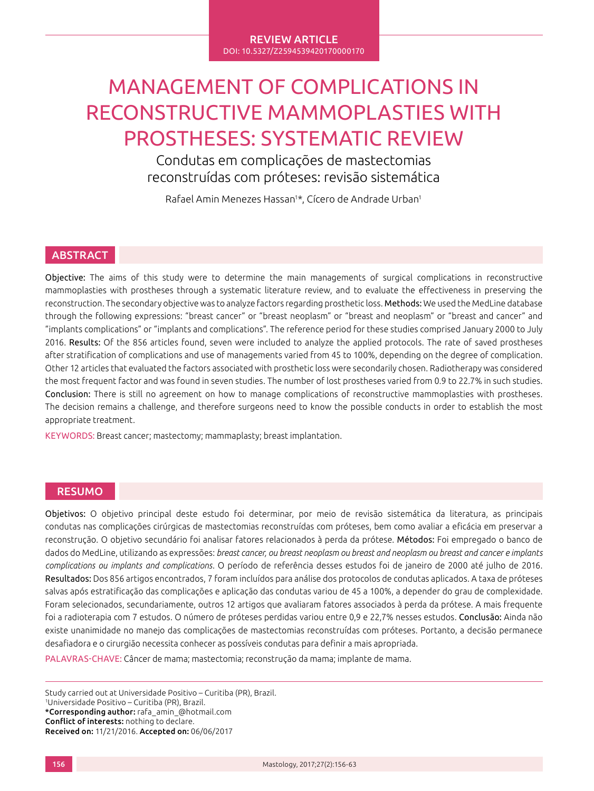#### REVIEW ARTICLE DOI: 10.5327/Z2594539420170000170

# MANAGEMENT OF COMPLICATIONS IN RECONSTRUCTIVE MAMMOPLASTIES WITH PROSTHESES: SYSTEMATIC REVIEW

Condutas em complicações de mastectomias reconstruídas com próteses: revisão sistemática

Rafael Amin Menezes Hassan1\*, Cícero de Andrade Urban1

# **ABSTRACT**

Objective: The aims of this study were to determine the main managements of surgical complications in reconstructive mammoplasties with prostheses through a systematic literature review, and to evaluate the effectiveness in preserving the reconstruction. The secondary objective was to analyze factors regarding prosthetic loss. Methods: We used the MedLine database through the following expressions: "breast cancer" or "breast neoplasm" or "breast and neoplasm" or "breast and cancer" and "implants complications" or "implants and complications". The reference period for these studies comprised January 2000 to July 2016. Results: Of the 856 articles found, seven were included to analyze the applied protocols. The rate of saved prostheses after stratification of complications and use of managements varied from 45 to 100%, depending on the degree of complication. Other 12 articles that evaluated the factors associated with prosthetic loss were secondarily chosen. Radiotherapy was considered the most frequent factor and was found in seven studies. The number of lost prostheses varied from 0.9 to 22.7% in such studies. Conclusion: There is still no agreement on how to manage complications of reconstructive mammoplasties with prostheses. The decision remains a challenge, and therefore surgeons need to know the possible conducts in order to establish the most appropriate treatment.

KEYWORDS: Breast cancer; mastectomy; mammaplasty; breast implantation.

## RESUMO

Objetivos: O objetivo principal deste estudo foi determinar, por meio de revisão sistemática da literatura, as principais condutas nas complicações cirúrgicas de mastectomias reconstruídas com próteses, bem como avaliar a eficácia em preservar a reconstrução. O objetivo secundário foi analisar fatores relacionados à perda da prótese. Métodos: Foi empregado o banco de dados do MedLine, utilizando as expressões: *breast cancer, ou breast neoplasm ou breast and neoplasm ou breast and cancer e implants complications ou implants and complications*. O período de referência desses estudos foi de janeiro de 2000 até julho de 2016. Resultados: Dos 856 artigos encontrados, 7 foram incluídos para análise dos protocolos de condutas aplicados. A taxa de próteses salvas após estratificação das complicações e aplicação das condutas variou de 45 a 100%, a depender do grau de complexidade. Foram selecionados, secundariamente, outros 12 artigos que avaliaram fatores associados à perda da prótese. A mais frequente foi a radioterapia com 7 estudos. O número de próteses perdidas variou entre 0,9 e 22,7% nesses estudos. Conclusão: Ainda não existe unanimidade no manejo das complicações de mastectomias reconstruídas com próteses. Portanto, a decisão permanece desafiadora e o cirurgião necessita conhecer as possíveis condutas para definir a mais apropriada.

PALAVRAS-CHAVE: Câncer de mama; mastectomia; reconstrução da mama; implante de mama.

Study carried out at Universidade Positivo – Curitiba (PR), Brazil. 1 Universidade Positivo – Curitiba (PR), Brazil. \*Corresponding author: rafa\_amin\_@hotmail.com Conflict of interests: nothing to declare. Received on: 11/21/2016. Accepted on: 06/06/2017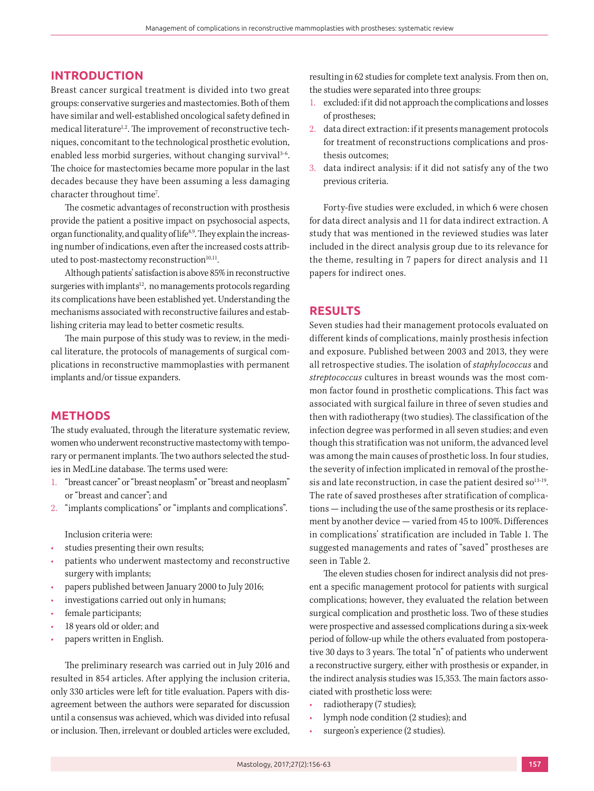## **INTRODUCTION**

Breast cancer surgical treatment is divided into two great groups: conservative surgeries and mastectomies. Both of them have similar and well-established oncological safety defined in medical literature<sup>1,2</sup>. The improvement of reconstructive techniques, concomitant to the technological prosthetic evolution, enabled less morbid surgeries, without changing survival<sup>3-6</sup>. The choice for mastectomies became more popular in the last decades because they have been assuming a less damaging character throughout time<sup>7</sup>.

The cosmetic advantages of reconstruction with prosthesis provide the patient a positive impact on psychosocial aspects, organ functionality, and quality of life<sup>8,9</sup>. They explain the increasing number of indications, even after the increased costs attributed to post-mastectomy reconstruction $10,11$ .

Although patients' satisfaction is above 85% in reconstructive surgeries with implants<sup>12</sup>, no managements protocols regarding its complications have been established yet. Understanding the mechanisms associated with reconstructive failures and establishing criteria may lead to better cosmetic results.

The main purpose of this study was to review, in the medical literature, the protocols of managements of surgical complications in reconstructive mammoplasties with permanent implants and/or tissue expanders.

## **METHODS**

The study evaluated, through the literature systematic review, women who underwent reconstructive mastectomy with temporary or permanent implants. The two authors selected the studies in MedLine database. The terms used were:

- 1. "breast cancer" or "breast neoplasm" or "breast and neoplasm" or "breast and cancer"; and
- 2. "implants complications" or "implants and complications".

Inclusion criteria were:

- studies presenting their own results;
- patients who underwent mastectomy and reconstructive surgery with implants;
- papers published between January 2000 to July 2016;
- investigations carried out only in humans;
- female participants;
- 18 years old or older; and
- papers written in English.

The preliminary research was carried out in July 2016 and resulted in 854 articles. After applying the inclusion criteria, only 330 articles were left for title evaluation. Papers with disagreement between the authors were separated for discussion until a consensus was achieved, which was divided into refusal or inclusion. Then, irrelevant or doubled articles were excluded, resulting in 62 studies for complete text analysis. From then on, the studies were separated into three groups:

- 1. excluded: if it did not approach the complications and losses of prostheses;
- 2. data direct extraction: if it presents management protocols for treatment of reconstructions complications and prosthesis outcomes;
- 3. data indirect analysis: if it did not satisfy any of the two previous criteria.

Forty-five studies were excluded, in which 6 were chosen for data direct analysis and 11 for data indirect extraction. A study that was mentioned in the reviewed studies was later included in the direct analysis group due to its relevance for the theme, resulting in 7 papers for direct analysis and 11 papers for indirect ones.

## **RESULTS**

Seven studies had their management protocols evaluated on different kinds of complications, mainly prosthesis infection and exposure. Published between 2003 and 2013, they were all retrospective studies. The isolation of *staphylococcus* and *streptococcus* cultures in breast wounds was the most common factor found in prosthetic complications. This fact was associated with surgical failure in three of seven studies and then with radiotherapy (two studies). The classification of the infection degree was performed in all seven studies; and even though this stratification was not uniform, the advanced level was among the main causes of prosthetic loss. In four studies, the severity of infection implicated in removal of the prosthesis and late reconstruction, in case the patient desired so $13-19$ . The rate of saved prostheses after stratification of complications — including the use of the same prosthesis or its replacement by another device — varied from 45 to 100%. Differences in complications' stratification are included in Table 1. The suggested managements and rates of "saved" prostheses are seen in Table 2.

The eleven studies chosen for indirect analysis did not present a specific management protocol for patients with surgical complications; however, they evaluated the relation between surgical complication and prosthetic loss. Two of these studies were prospective and assessed complications during a six-week period of follow-up while the others evaluated from postoperative 30 days to 3 years. The total "n" of patients who underwent a reconstructive surgery, either with prosthesis or expander, in the indirect analysis studies was 15,353. The main factors associated with prosthetic loss were:

- radiotherapy (7 studies);
- lymph node condition (2 studies); and
- surgeon's experience (2 studies).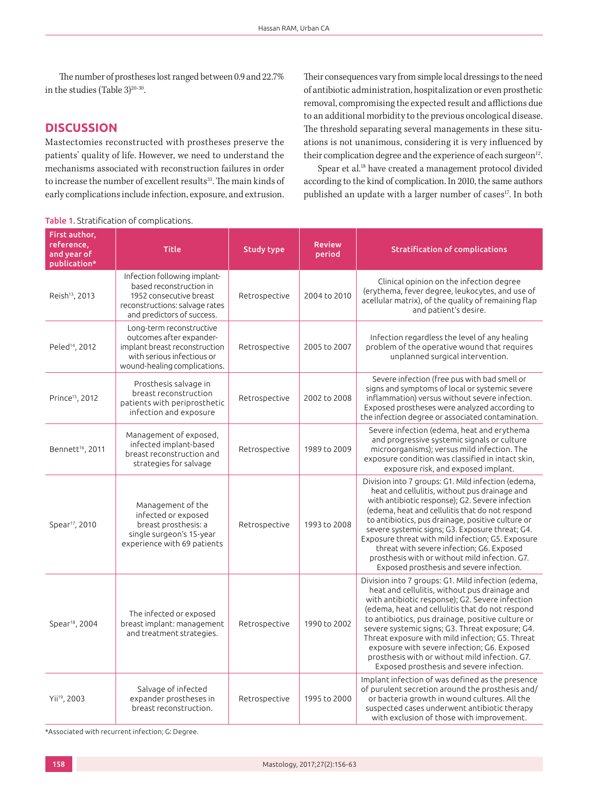The number of prostheses lost ranged between 0.9 and 22.7% in the studies (Table  $3)^{20-30}$ .

# **DISCUSSION**

Mastectomies reconstructed with prostheses preserve the patients' quality of life. However, we need to understand the mechanisms associated with reconstruction failures in order to increase the number of excellent results<sup>31</sup>. The main kinds of early complications include infection, exposure, and extrusion.

Their consequences vary from simple local dressings to the need of antibiotic administration, hospitalization or even prosthetic removal, compromising the expected result and afflictions due to an additional morbidity to the previous oncological disease. The threshold separating several managements in these situations is not unanimous, considering it is very influenced by their complication degree and the experience of each surgeon $12$ .

Spear et al.18 have created a management protocol divided according to the kind of complication. In 2010, the same authors published an update with a larger number of cases<sup>17</sup>. In both

#### Table 1. Stratification of complications.

| First author,<br>reference,<br>and year of<br>publication* | <b>Title</b>                                                                                                                                        | Study type    | <b>Review</b><br>period | <b>Stratification of complications</b>                                                                                                                                                                                                                                                                                                                                                                                                                                                                            |
|------------------------------------------------------------|-----------------------------------------------------------------------------------------------------------------------------------------------------|---------------|-------------------------|-------------------------------------------------------------------------------------------------------------------------------------------------------------------------------------------------------------------------------------------------------------------------------------------------------------------------------------------------------------------------------------------------------------------------------------------------------------------------------------------------------------------|
| Reish <sup>13</sup> , 2013                                 | Infection following implant-<br>based reconstruction in<br>1952 consecutive breast<br>reconstructions: salvage rates<br>and predictors of success.  | Retrospective | 2004 to 2010            | Clinical opinion on the infection degree<br>(erythema, fever degree, leukocytes, and use of<br>acellular matrix), of the quality of remaining flap<br>and patient's desire.                                                                                                                                                                                                                                                                                                                                       |
| Peled <sup>14</sup> , 2012                                 | Long-term reconstructive<br>outcomes after expander-<br>implant breast reconstruction<br>with serious infectious or<br>wound-healing complications. | Retrospective | 2005 to 2007            | Infection regardless the level of any healing<br>problem of the operative wound that requires<br>unplanned surgical intervention.                                                                                                                                                                                                                                                                                                                                                                                 |
| Prince <sup>15</sup> , 2012                                | Prosthesis salvage in<br>breast reconstruction<br>patients with periprosthetic<br>infection and exposure                                            | Retrospective | 2002 to 2008            | Severe infection (free pus with bad smell or<br>signs and symptoms of local or systemic severe<br>inflammation) versus without severe infection.<br>Exposed prostheses were analyzed according to<br>the infection degree or associated contamination.                                                                                                                                                                                                                                                            |
| Bennett <sup>16</sup> , 2011                               | Management of exposed,<br>infected implant-based<br>breast reconstruction and<br>strategies for salvage                                             | Retrospective | 1989 to 2009            | Severe infection (edema, heat and erythema<br>and progressive systemic signals or culture<br>microorganisms); versus mild infection. The<br>exposure condition was classified in intact skin.<br>exposure risk, and exposed implant.                                                                                                                                                                                                                                                                              |
| Spear <sup>17</sup> , 2010                                 | Management of the<br>infected or exposed<br>breast prosthesis: a<br>single surgeon's 15-year<br>experience with 69 patients                         | Retrospective | 1993 to 2008            | Division into 7 groups: G1. Mild infection (edema,<br>heat and cellulitis, without pus drainage and<br>with antibiotic response); G2. Severe infection<br>(edema, heat and cellulitis that do not respond<br>to antibiotics, pus drainage, positive culture or<br>severe systemic signs; G3. Exposure threat; G4.<br>Exposure threat with mild infection; G5. Exposure<br>threat with severe infection; G6. Exposed<br>prosthesis with or without mild infection. G7.<br>Exposed prosthesis and severe infection. |
| Spear <sup>18</sup> , 2004                                 | The infected or exposed<br>breast implant: management<br>and treatment strategies.                                                                  | Retrospective | 1990 to 2002            | Division into 7 groups: G1. Mild infection (edema,<br>heat and cellulitis, without pus drainage and<br>with antibiotic response); G2. Severe infection<br>(edema, heat and cellulitis that do not respond<br>to antibiotics, pus drainage, positive culture or<br>severe systemic signs; G3. Threat exposure; G4.<br>Threat exposure with mild infection; G5. Threat<br>exposure with severe infection; G6. Exposed<br>prosthesis with or without mild infection. G7.<br>Exposed prosthesis and severe infection. |
| Yii <sup>19</sup> , 2003                                   | Salvage of infected<br>expander prostheses in<br>breast reconstruction.                                                                             | Retrospective | 1995 to 2000            | Implant infection of was defined as the presence<br>of purulent secretion around the prosthesis and/<br>or bacteria growth in wound cultures. All the<br>suspected cases underwent antibiotic therapy<br>with exclusion of those with improvement.                                                                                                                                                                                                                                                                |

\*Associated with recurrent infection; G: Degree.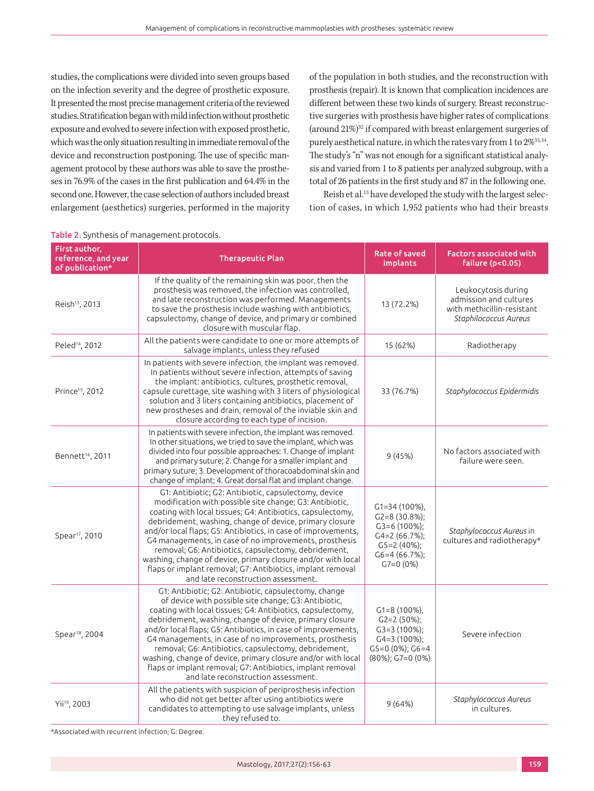studies, the complications were divided into seven groups based on the infection severity and the degree of prosthetic exposure. It presented the most precise management criteria of the reviewed studies. Stratification began with mild infection without prosthetic exposure and evolved to severe infection with exposed prosthetic, which was the only situation resulting in immediate removal of the device and reconstruction postponing. The use of specific management protocol by these authors was able to save the prostheses in 76.9% of the cases in the first publication and 64.4% in the second one. However, the case selection of authors included breast enlargement (aesthetics) surgeries, performed in the majority of the population in both studies, and the reconstruction with prosthesis (repair). It is known that complication incidences are different between these two kinds of surgery. Breast reconstructive surgeries with prosthesis have higher rates of complications (around 21%)32 if compared with breast enlargement surgeries of purely aesthetical nature, in which the rates vary from 1 to  $2\%^{33,34}$ . The study's "n" was not enough for a significant statistical analysis and varied from 1 to 8 patients per analyzed subgroup, with a total of 26 patients in the first study and 87 in the following one.

Reish et al.<sup>13</sup> have developed the study with the largest selection of cases, in which 1,952 patients who had their breasts

| First author,<br>reference, and year<br>of publication* | <b>Therapeutic Plan</b>                                                                                                                                                                                                                                                                                                                                                                                                                                                                                                                                                                          | <b>Rate of saved</b><br><i>implants</i>                                                                                       | <b>Factors associated with</b><br>failure $(p<0.05)$                                                 |
|---------------------------------------------------------|--------------------------------------------------------------------------------------------------------------------------------------------------------------------------------------------------------------------------------------------------------------------------------------------------------------------------------------------------------------------------------------------------------------------------------------------------------------------------------------------------------------------------------------------------------------------------------------------------|-------------------------------------------------------------------------------------------------------------------------------|------------------------------------------------------------------------------------------------------|
| Reish <sup>13</sup> , 2013                              | If the quality of the remaining skin was poor, then the<br>prosthesis was removed, the infection was controlled,<br>and late reconstruction was performed. Managements<br>to save the prosthesis include washing with antibiotics,<br>capsulectomy, change of device, and primary or combined<br>closure with muscular flap.                                                                                                                                                                                                                                                                     | 13 (72.2%)                                                                                                                    | Leukocytosis during<br>admission and cultures<br>with methicillin-resistant<br>Staphilococcus Aureus |
| Peled <sup>14</sup> , 2012                              | All the patients were candidate to one or more attempts of<br>salvage implants, unless they refused                                                                                                                                                                                                                                                                                                                                                                                                                                                                                              | 15 (62%)                                                                                                                      | Radiotherapy                                                                                         |
| Prince <sup>15</sup> , 2012                             | In patients with severe infection, the implant was removed.<br>In patients without severe infection, attempts of saving<br>the implant: antibiotics, cultures, prosthetic removal,<br>capsule curettage, site washing with 3 liters of physiological<br>solution and 3 liters containing antibiotics, placement of<br>new prostheses and drain, removal of the inviable skin and<br>closure according to each type of incision.                                                                                                                                                                  | 33 (76.7%)                                                                                                                    | Staphylococcus Epidermidis                                                                           |
| Bennett <sup>16</sup> , 2011                            | In patients with severe infection, the implant was removed.<br>In other situations, we tried to save the implant, which was<br>divided into four possible approaches: 1. Change of implant<br>and primary suture; 2. Change for a smaller implant and<br>primary suture; 3. Development of thoracoabdominal skin and<br>change of implant; 4. Great dorsal flat and implant change.                                                                                                                                                                                                              | 9(45%)                                                                                                                        | No factors associated with<br>failure were seen.                                                     |
| Spear <sup>17</sup> , 2010                              | G1: Antibiotic; G2: Antibiotic, capsulectomy, device<br>modification with possible site change; G3: Antibiotic,<br>coating with local tissues; G4: Antibiotics, capsulectomy,<br>debridement, washing, change of device, primary closure<br>and/or local flaps; G5: Antibiotics, in case of improvements,<br>G4 managements, in case of no improvements, prosthesis<br>removal; G6: Antibiotics, capsulectomy, debridement,<br>washing, change of device, primary closure and/or with local<br>flaps or implant removal; G7: Antibiotics, implant removal<br>and late reconstruction assessment. | $G1 = 34(100\%)$<br>$G2=8(30.8\%)$ ;<br>$G3=6(100\%)$ ;<br>$G4=2(66.7%)$ ;<br>$G5=2(40\%)$ ;<br>$G6=4(66.7%)$ ;<br>$G7=0(0%)$ | Staphylococcus Aureus in<br>cultures and radiotherapy*                                               |
| Spear <sup>18</sup> , 2004                              | G1: Antibiotic; G2: Antibiotic, capsulectomy, change<br>of device with possible site change; G3: Antibiotic,<br>coating with local tissues; G4: Antibiotics, capsulectomy,<br>debridement, washing, change of device, primary closure<br>and/or local flaps; G5: Antibiotics, in case of improvements,<br>G4 managements, in case of no improvements, prosthesis<br>removal; G6: Antibiotics, capsulectomy, debridement,<br>washing, change of device, primary closure and/or with local<br>flaps or implant removal; G7: Antibiotics, implant removal<br>and late reconstruction assessment.    | $G1 = 8(100\%)$ ,<br>$G2=2(50\%)$ ;<br>$G3=3(100\%)$ ;<br>G4=3 (100%);<br>$G5=0(0\%)$ ; $G6=4$<br>(80%); G7=0 (0%)            | Severe infection                                                                                     |
| Yii <sup>19</sup> , 2003                                | All the patients with suspicion of periprosthesis infection<br>who did not get better after using antibiotics were<br>candidates to attempting to use salvage implants, unless<br>they refused to.                                                                                                                                                                                                                                                                                                                                                                                               | 9(64%)                                                                                                                        | Staphylococcus Aureus<br>in cultures.                                                                |

#### Table 2. Synthesis of management protocols.

\*Associated with recurrent infection; G: Degree.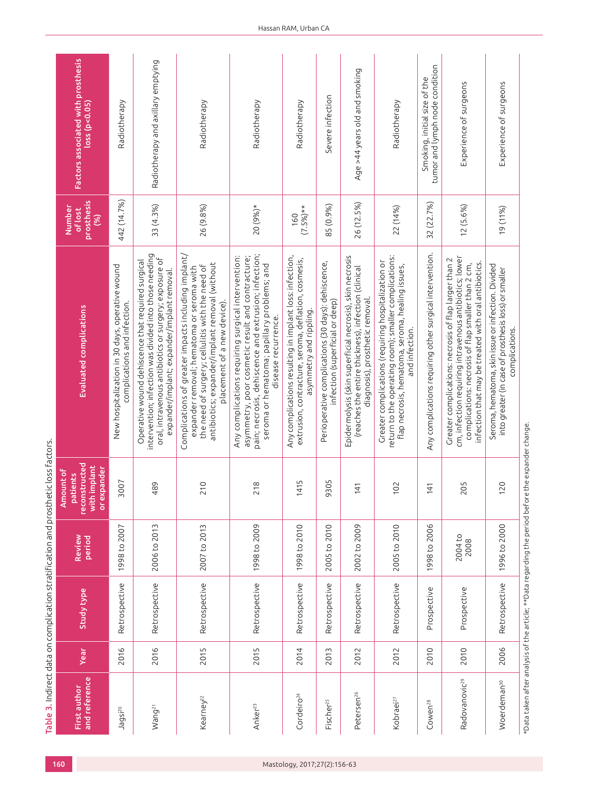| First author                                                                                            |      |                   | Review          | Amount of<br>patients                        |                                                                                                                                                                                                                                       | <b>Number</b><br>of lost | Factors associated with prosthesis                             |
|---------------------------------------------------------------------------------------------------------|------|-------------------|-----------------|----------------------------------------------|---------------------------------------------------------------------------------------------------------------------------------------------------------------------------------------------------------------------------------------|--------------------------|----------------------------------------------------------------|
| and reference                                                                                           | Year | <b>Study type</b> | <b>Period</b>   | reconstructed<br>with implant<br>or expander | Evaluated complications                                                                                                                                                                                                               | prosthesis<br>(%)        | loss(p<0.05)                                                   |
| Jagsi <sup>20</sup>                                                                                     | 2016 | Retrospective     | 1998 to 2007    | 3007                                         | New hospitalization in 30 days, operative wound<br>complications and infection.                                                                                                                                                       | 442 (14.7%)              | Radiotherapy                                                   |
| Wang <sup>21</sup>                                                                                      | 2016 | Retrospective     | 2006 to 2013    | 489                                          | intervention; infection was divided into those needing<br>oral, intravenous antibiotics or surgery; exposure of<br>Operative wound dehiscence that required surgical<br>expander/implant; expander/implant removal.                   | 33(4.3%)                 | Radiotherapy and axillary emptying                             |
| Kearney <sup>22</sup>                                                                                   | 2015 | Retrospective     | 2007 to 2013    | 210                                          | Complications of greater impacts including implant/<br>antibiotics; expander/implant removal (without<br>the need of surgery; cellulitis with the need of<br>expander removal; hematoma or seroma with<br>placement of a new device). | 26 (9.8%)                | Radiotherapy                                                   |
| Anker <sup>23</sup>                                                                                     | 2015 | Retrospective     | 1998 to 2009    | 218                                          | pain; necrosis, dehiscence and extrusion; infection;<br>Any complications requiring surgical intervention:<br>asymmetry, poor cosmetic result and contracture;<br>seroma or hematoma; papillary problems; and<br>disease recurrence.  | 20 (9%)*                 | Radiotherapy                                                   |
| Cordeiro <sup>24</sup>                                                                                  | 2014 | Retrospective     | 1998 to 2010    | 415                                          | Any complications resulting in implant loss: infection,<br>extrusion, contracture, seroma, deflation, cosmesis,<br>asymmetry and rippling.                                                                                            | $(7.5\%)**$<br>160       | Radiotherapy                                                   |
| Fischer <sup>25</sup>                                                                                   | 2013 | Retrospective     | 2005 to 2010    | 305<br>ጣ                                     | Perioperative complications (30 days): dehiscence,<br>infection (superficial or deep)                                                                                                                                                 | 85 (0.9%)                | Severe infection                                               |
| Petersen <sup>26</sup>                                                                                  | 2012 | Retrospective     | 2002 to 2009    | 141                                          | Epidermolysis (skin superficial necrosis), skin necrosis<br>(reaches the entire thickness), infection (clinical<br>diagnosis), prosthetic removal                                                                                     | 26 (12.5%)               | Age >44 years old and smoking                                  |
| Kobraei <sup>27</sup>                                                                                   | 2012 | Retrospective     | 2005 to 2010    | 102                                          | return to the operating room); smaller complications:<br>Greater complications (requiring hospitalization or<br>flap necrosis, hematoma, seroma, healing issues,<br>and infection.                                                    | 22 (14%)                 | Radiotherapy                                                   |
| Cowen <sup>28</sup>                                                                                     | 2010 | Prospective       | 1998 to 2006    | 141                                          | Any complications requiring other surgical intervention.                                                                                                                                                                              | 32 (22.7%)               | tumor and lymph node condition<br>Smoking, initial size of the |
| Radovanovic <sup>29</sup>                                                                               | 2010 | Prospective       | 2004 to<br>2008 | 205                                          | cm, infection requiring intravenous antibiotics; lower<br>Greater complications: necrosis of flap larger than 2<br>infection that may be treated with oral antibiotics.<br>complications: necrosis of flap smaller than 2 cm,         | 12(5.6%)                 | Experience of surgeons                                         |
| Woerdeman <sup>30</sup>                                                                                 | 2006 | Retrospective     | 1996 to 2000    | 120                                          | Seroma, hematoma, skin issue or infection. Divided<br>into greater (in case of prosthesis loss) or smaller<br>complications.                                                                                                          | 19 (11%)                 | Experience of surgeons                                         |
| $*$ Data taken after analysis of the article: $*$ bata regarding the period before the expander change. |      |                   |                 |                                              |                                                                                                                                                                                                                                       |                          |                                                                |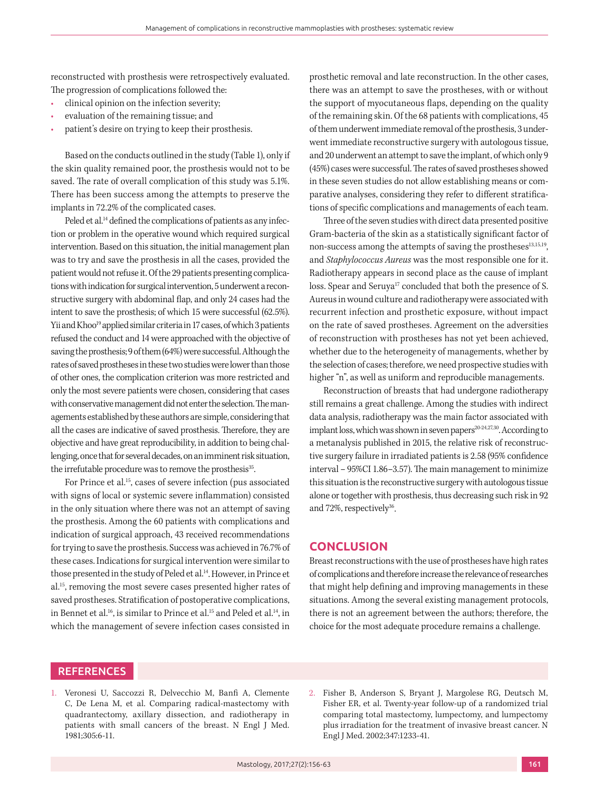reconstructed with prosthesis were retrospectively evaluated. The progression of complications followed the:

- clinical opinion on the infection severity;
- evaluation of the remaining tissue; and
- patient's desire on trying to keep their prosthesis.

Based on the conducts outlined in the study (Table 1), only if the skin quality remained poor, the prosthesis would not to be saved. The rate of overall complication of this study was 5.1%. There has been success among the attempts to preserve the implants in 72.2% of the complicated cases.

Peled et al.<sup>14</sup> defined the complications of patients as any infection or problem in the operative wound which required surgical intervention. Based on this situation, the initial management plan was to try and save the prosthesis in all the cases, provided the patient would not refuse it. Of the 29 patients presenting complications with indication for surgical intervention, 5 underwent a reconstructive surgery with abdominal flap, and only 24 cases had the intent to save the prosthesis; of which 15 were successful (62.5%). Yii and Khoo<sup>19</sup> applied similar criteria in 17 cases, of which 3 patients refused the conduct and 14 were approached with the objective of saving the prosthesis; 9 of them (64%) were successful. Although the rates of saved prostheses in these two studies were lower than those of other ones, the complication criterion was more restricted and only the most severe patients were chosen, considering that cases with conservative management did not enter the selection. The managements established by these authors are simple, considering that all the cases are indicative of saved prosthesis. Therefore, they are objective and have great reproducibility, in addition to being challenging, once that for several decades, on an imminent risk situation, the irrefutable procedure was to remove the prosthesis<sup>35</sup>.

For Prince et al.<sup>15</sup>, cases of severe infection (pus associated with signs of local or systemic severe inflammation) consisted in the only situation where there was not an attempt of saving the prosthesis. Among the 60 patients with complications and indication of surgical approach, 43 received recommendations for trying to save the prosthesis. Success was achieved in 76.7% of these cases. Indications for surgical intervention were similar to those presented in the study of Peled et al.<sup>14</sup>. However, in Prince et al.15, removing the most severe cases presented higher rates of saved prostheses. Stratification of postoperative complications, in Bennet et al.<sup>16</sup>, is similar to Prince et al.<sup>15</sup> and Peled et al.<sup>14</sup>, in which the management of severe infection cases consisted in prosthetic removal and late reconstruction. In the other cases, there was an attempt to save the prostheses, with or without the support of myocutaneous flaps, depending on the quality of the remaining skin. Of the 68 patients with complications, 45 of them underwent immediate removal of the prosthesis, 3 underwent immediate reconstructive surgery with autologous tissue, and 20 underwent an attempt to save the implant, of which only 9 (45%) cases were successful. The rates of saved prostheses showed in these seven studies do not allow establishing means or comparative analyses, considering they refer to different stratifications of specific complications and managements of each team.

Three of the seven studies with direct data presented positive Gram-bacteria of the skin as a statistically significant factor of non-success among the attempts of saving the prostheses<sup>13,15,19</sup>, and *Staphylococcus Aureus* was the most responsible one for it. Radiotherapy appears in second place as the cause of implant loss. Spear and Seruya<sup>17</sup> concluded that both the presence of S. Aureus in wound culture and radiotherapy were associated with recurrent infection and prosthetic exposure, without impact on the rate of saved prostheses. Agreement on the adversities of reconstruction with prostheses has not yet been achieved, whether due to the heterogeneity of managements, whether by the selection of cases; therefore, we need prospective studies with higher "n", as well as uniform and reproducible managements.

Reconstruction of breasts that had undergone radiotherapy still remains a great challenge. Among the studies with indirect data analysis, radiotherapy was the main factor associated with implant loss, which was shown in seven papers<sup>20-24,27,30</sup>. According to a metanalysis published in 2015, the relative risk of reconstructive surgery failure in irradiated patients is 2.58 (95% confidence interval – 95%CI 1.86–3.57). The main management to minimize this situation is the reconstructive surgery with autologous tissue alone or together with prosthesis, thus decreasing such risk in 92 and 72%, respectively $36$ .

#### **CONCLUSION**

Breast reconstructions with the use of prostheses have high rates of complications and therefore increase the relevance of researches that might help defining and improving managements in these situations. Among the several existing management protocols, there is not an agreement between the authors; therefore, the choice for the most adequate procedure remains a challenge.

# **REFERENCES**

- 1. Veronesi U, Saccozzi R, Delvecchio M, Banfi A, Clemente C, De Lena M, et al. Comparing radical-mastectomy with quadrantectomy, axillary dissection, and radiotherapy in patients with small cancers of the breast. N Engl J Med. 1981;305:6-11.
- 2. Fisher B, Anderson S, Bryant J, Margolese RG, Deutsch M, Fisher ER, et al. Twenty-year follow-up of a randomized trial comparing total mastectomy, lumpectomy, and lumpectomy plus irradiation for the treatment of invasive breast cancer. N Engl J Med. 2002;347:1233-41.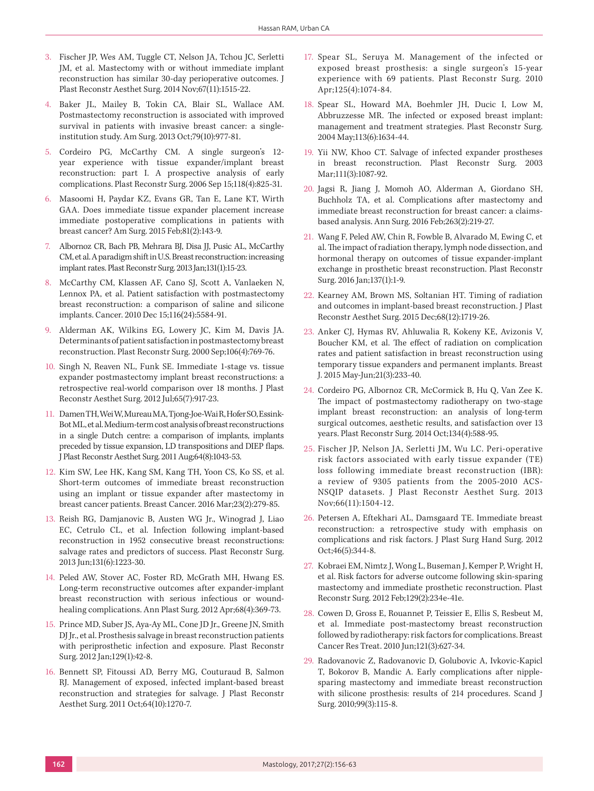- 3. Fischer JP, Wes AM, Tuggle CT, Nelson JA, Tchou JC, Serletti JM, et al. Mastectomy with or without immediate implant reconstruction has similar 30-day perioperative outcomes. J Plast Reconstr Aesthet Surg. 2014 Nov;67(11):1515-22.
- 4. Baker JL, Mailey B, Tokin CA, Blair SL, Wallace AM. Postmastectomy reconstruction is associated with improved survival in patients with invasive breast cancer: a singleinstitution study. Am Surg. 2013 Oct;79(10):977-81.
- 5. Cordeiro PG, McCarthy CM. A single surgeon's 12 year experience with tissue expander/implant breast reconstruction: part I. A prospective analysis of early complications. Plast Reconstr Surg. 2006 Sep 15;118(4):825-31.
- 6. Masoomi H, Paydar KZ, Evans GR, Tan E, Lane KT, Wirth GAA. Does immediate tissue expander placement increase immediate postoperative complications in patients with breast cancer? Am Surg. 2015 Feb;81(2):143-9.
- 7. Albornoz CR, Bach PB, Mehrara BJ, Disa JJ, Pusic AL, McCarthy CM, et al. A paradigm shift in U.S. Breast reconstruction: increasing implant rates. Plast Reconstr Surg. 2013 Jan;131(1):15-23.
- 8. McCarthy CM, Klassen AF, Cano SJ, Scott A, Vanlaeken N, Lennox PA, et al. Patient satisfaction with postmastectomy breast reconstruction: a comparison of saline and silicone implants. Cancer. 2010 Dec 15;116(24):5584-91.
- 9. Alderman AK, Wilkins EG, Lowery JC, Kim M, Davis JA. Determinants of patient satisfaction in postmastectomy breast reconstruction. Plast Reconstr Surg. 2000 Sep;106(4):769-76.
- 10. Singh N, Reaven NL, Funk SE. Immediate 1-stage vs. tissue expander postmastectomy implant breast reconstructions: a retrospective real-world comparison over 18 months. J Plast Reconstr Aesthet Surg. 2012 Jul;65(7):917-23.
- 11. Damen TH, Wei W, Mureau MA, Tjong-Joe-Wai R, Hofer SO, Essink-Bot ML, et al. Medium-term cost analysis of breast reconstructions in a single Dutch centre: a comparison of implants, implants preceded by tissue expansion, LD transpositions and DIEP flaps. J Plast Reconstr Aesthet Surg. 2011 Aug;64(8):1043-53.
- 12. Kim SW, Lee HK, Kang SM, Kang TH, Yoon CS, Ko SS, et al. Short-term outcomes of immediate breast reconstruction using an implant or tissue expander after mastectomy in breast cancer patients. Breast Cancer. 2016 Mar;23(2):279-85.
- 13. Reish RG, Damjanovic B, Austen WG Jr., Winograd J, Liao EC, Cetrulo CL, et al. Infection following implant-based reconstruction in 1952 consecutive breast reconstructions: salvage rates and predictors of success. Plast Reconstr Surg. 2013 Jun;131(6):1223-30.
- 14. Peled AW, Stover AC, Foster RD, McGrath MH, Hwang ES. Long-term reconstructive outcomes after expander-implant breast reconstruction with serious infectious or woundhealing complications. Ann Plast Surg. 2012 Apr;68(4):369-73.
- 15. Prince MD, Suber JS, Aya-Ay ML, Cone JD Jr., Greene JN, Smith DJ Jr., et al. Prosthesis salvage in breast reconstruction patients with periprosthetic infection and exposure. Plast Reconstr Surg. 2012 Jan;129(1):42-8.
- 16. Bennett SP, Fitoussi AD, Berry MG, Couturaud B, Salmon RJ. Management of exposed, infected implant-based breast reconstruction and strategies for salvage. J Plast Reconstr Aesthet Surg. 2011 Oct;64(10):1270-7.
- 17. Spear SL, Seruya M. Management of the infected or exposed breast prosthesis: a single surgeon's 15-year experience with 69 patients. Plast Reconstr Surg. 2010 Apr;125(4):1074-84.
- 18. Spear SL, Howard MA, Boehmler JH, Ducic I, Low M, Abbruzzesse MR. The infected or exposed breast implant: management and treatment strategies. Plast Reconstr Surg. 2004 May;113(6):1634-44.
- 19. Yii NW, Khoo CT. Salvage of infected expander prostheses in breast reconstruction. Plast Reconstr Surg. 2003 Mar;111(3):1087-92.
- 20. Jagsi R, Jiang J, Momoh AO, Alderman A, Giordano SH, Buchholz TA, et al. Complications after mastectomy and immediate breast reconstruction for breast cancer: a claimsbased analysis. Ann Surg. 2016 Feb;263(2):219-27.
- 21. Wang F, Peled AW, Chin R, Fowble B, Alvarado M, Ewing C, et al. The impact of radiation therapy, lymph node dissection, and hormonal therapy on outcomes of tissue expander-implant exchange in prosthetic breast reconstruction. Plast Reconstr Surg. 2016 Jan;137(1):1-9.
- 22. Kearney AM, Brown MS, Soltanian HT. Timing of radiation and outcomes in implant-based breast reconstruction. J Plast Reconstr Aesthet Surg. 2015 Dec;68(12):1719-26.
- 23. Anker CJ, Hymas RV, Ahluwalia R, Kokeny KE, Avizonis V, Boucher KM, et al. The effect of radiation on complication rates and patient satisfaction in breast reconstruction using temporary tissue expanders and permanent implants. Breast J. 2015 May-Jun;21(3):233-40.
- 24. Cordeiro PG, Albornoz CR, McCormick B, Hu Q, Van Zee K. The impact of postmastectomy radiotherapy on two-stage implant breast reconstruction: an analysis of long-term surgical outcomes, aesthetic results, and satisfaction over 13 years. Plast Reconstr Surg. 2014 Oct;134(4):588-95.
- 25. Fischer JP, Nelson JA, Serletti JM, Wu LC. Peri-operative risk factors associated with early tissue expander (TE) loss following immediate breast reconstruction (IBR): a review of 9305 patients from the 2005-2010 ACS-NSQIP datasets. J Plast Reconstr Aesthet Surg. 2013 Nov;66(11):1504-12.
- 26. Petersen A, Eftekhari AL, Damsgaard TE. Immediate breast reconstruction: a retrospective study with emphasis on complications and risk factors. J Plast Surg Hand Surg. 2012 Oct;46(5):344-8.
- 27. Kobraei EM, Nimtz J, Wong L, Buseman J, Kemper P, Wright H, et al. Risk factors for adverse outcome following skin-sparing mastectomy and immediate prosthetic reconstruction. Plast Reconstr Surg. 2012 Feb;129(2):234e-41e.
- 28. Cowen D, Gross E, Rouannet P, Teissier E, Ellis S, Resbeut M, et al. Immediate post-mastectomy breast reconstruction followed by radiotherapy: risk factors for complications. Breast Cancer Res Treat. 2010 Jun;121(3):627-34.
- 29. Radovanovic Z, Radovanovic D, Golubovic A, Ivkovic-Kapicl T, Bokorov B, Mandic A. Early complications after nipplesparing mastectomy and immediate breast reconstruction with silicone prosthesis: results of 214 procedures. Scand J Surg. 2010;99(3):115-8.